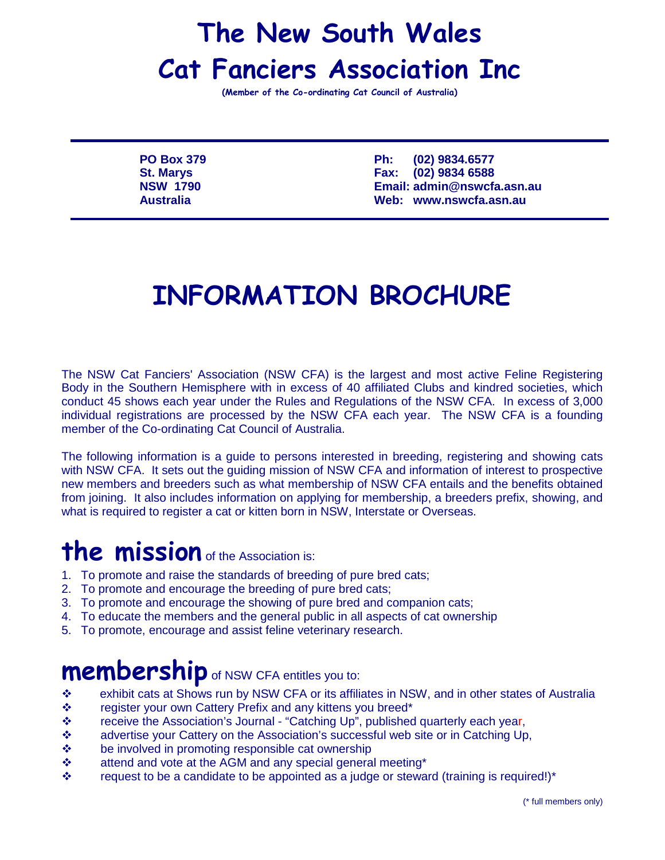## The New South Wales Cat Fanciers Association Inc

(Member of the Co-ordinating Cat Council of Australia)

**PO Box 379 Ph: (02) 9834.6577 St. Marys Fax: (02) 9834 6588 NSW 1790 Email: admin@nswcfa.asn.au Australia Web: www.nswcfa.asn.au**

## INFORMATION BROCHURE

The NSW Cat Fanciers' Association (NSW CFA) is the largest and most active Feline Registering Body in the Southern Hemisphere with in excess of 40 affiliated Clubs and kindred societies, which conduct 45 shows each year under the Rules and Regulations of the NSW CFA. In excess of 3,000 individual registrations are processed by the NSW CFA each year. The NSW CFA is a founding member of the Co-ordinating Cat Council of Australia.

The following information is a guide to persons interested in breeding, registering and showing cats with NSW CFA. It sets out the guiding mission of NSW CFA and information of interest to prospective new members and breeders such as what membership of NSW CFA entails and the benefits obtained from joining. It also includes information on applying for membership, a breeders prefix, showing, and what is required to register a cat or kitten born in NSW, Interstate or Overseas.

## the mission of the Association is:

- 1. To promote and raise the standards of breeding of pure bred cats;
- 2. To promote and encourage the breeding of pure bred cats;
- 3. To promote and encourage the showing of pure bred and companion cats;
- 4. To educate the members and the general public in all aspects of cat ownership
- 5. To promote, encourage and assist feline veterinary research.

#### **membership** of NSW CFA entitles you to:

- exhibit cats at Shows run by NSW CFA or its affiliates in NSW, and in other states of Australia
- $\div$  register your own Cattery Prefix and any kittens you breed<sup>\*</sup>
- \* receive the Association's Journal "Catching Up", published quarterly each year,
- \* advertise your Cattery on the Association's successful web site or in Catching Up,
- $\div$  be involved in promoting responsible cat ownership
- attend and vote at the AGM and any special general meeting\*
- $\div$  request to be a candidate to be appointed as a judge or steward (training is required!)\*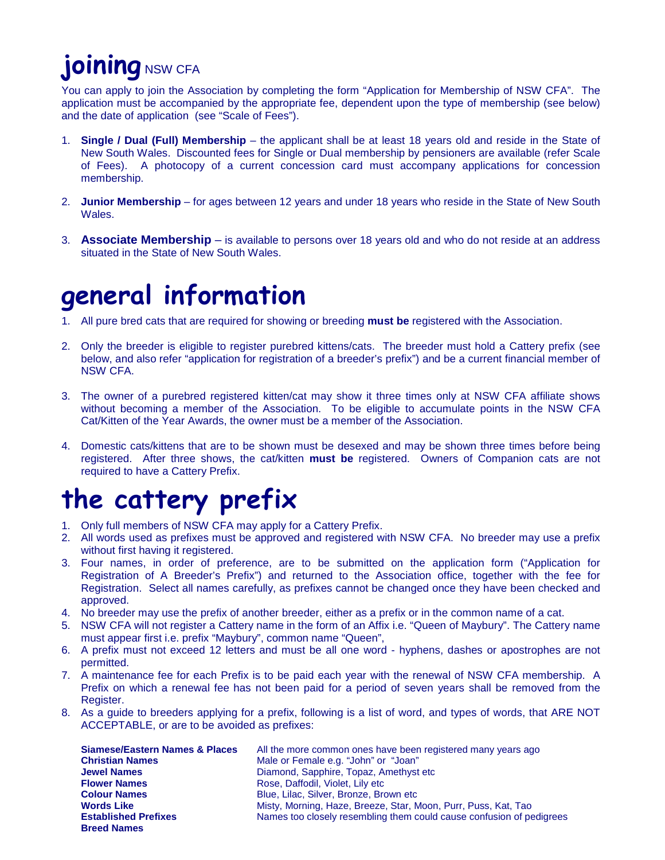# **joining** NSW CFA

You can apply to join the Association by completing the form "Application for Membership of NSW CFA". The application must be accompanied by the appropriate fee, dependent upon the type of membership (see below) and the date of application (see "Scale of Fees").

- 1. **Single / Dual (Full) Membership** the applicant shall be at least 18 years old and reside in the State of New South Wales. Discounted fees for Single or Dual membership by pensioners are available (refer Scale of Fees). A photocopy of a current concession card must accompany applications for concession membership.
- 2. **Junior Membership** for ages between 12 years and under 18 years who reside in the State of New South Wales.
- 3. **Associate Membership** is available to persons over 18 years old and who do not reside at an address situated in the State of New South Wales.

### general information

- 1. All pure bred cats that are required for showing or breeding **must be** registered with the Association.
- 2. Only the breeder is eligible to register purebred kittens/cats. The breeder must hold a Cattery prefix (see below, and also refer "application for registration of a breeder's prefix") and be a current financial member of NSW CFA.
- 3. The owner of a purebred registered kitten/cat may show it three times only at NSW CFA affiliate shows without becoming a member of the Association. To be eligible to accumulate points in the NSW CFA Cat/Kitten of the Year Awards, the owner must be a member of the Association.
- 4. Domestic cats/kittens that are to be shown must be desexed and may be shown three times before being registered. After three shows, the cat/kitten **must be** registered. Owners of Companion cats are not required to have a Cattery Prefix.

## the cattery prefix

- 1. Only full members of NSW CFA may apply for a Cattery Prefix.
- 2. All words used as prefixes must be approved and registered with NSW CFA. No breeder may use a prefix without first having it registered.
- 3. Four names, in order of preference, are to be submitted on the application form ("Application for Registration of A Breeder's Prefix") and returned to the Association office, together with the fee for Registration. Select all names carefully, as prefixes cannot be changed once they have been checked and approved.
- 4. No breeder may use the prefix of another breeder, either as a prefix or in the common name of a cat.
- 5. NSW CFA will not register a Cattery name in the form of an Affix i.e. "Queen of Maybury". The Cattery name must appear first i.e. prefix "Maybury", common name "Queen",
- 6. A prefix must not exceed 12 letters and must be all one word hyphens, dashes or apostrophes are not permitted.
- 7. A maintenance fee for each Prefix is to be paid each year with the renewal of NSW CFA membership. A Prefix on which a renewal fee has not been paid for a period of seven years shall be removed from the Register.
- 8. As a guide to breeders applying for a prefix, following is a list of word, and types of words, that ARE NOT ACCEPTABLE, or are to be avoided as prefixes:

| <b>Siamese/Eastern Names &amp; Places</b> | All the more common ones have been registered many years ago         |
|-------------------------------------------|----------------------------------------------------------------------|
| <b>Christian Names</b>                    | Male or Female e.g. "John" or "Joan"                                 |
| <b>Jewel Names</b>                        | Diamond, Sapphire, Topaz, Amethyst etc.                              |
| <b>Flower Names</b>                       | Rose, Daffodil, Violet, Lily etc.                                    |
| <b>Colour Names</b>                       | Blue, Lilac, Silver, Bronze, Brown etc                               |
| <b>Words Like</b>                         | Misty, Morning, Haze, Breeze, Star, Moon, Purr, Puss, Kat, Tao       |
| <b>Established Prefixes</b>               | Names too closely resembling them could cause confusion of pedigrees |
| <b>Breed Names</b>                        |                                                                      |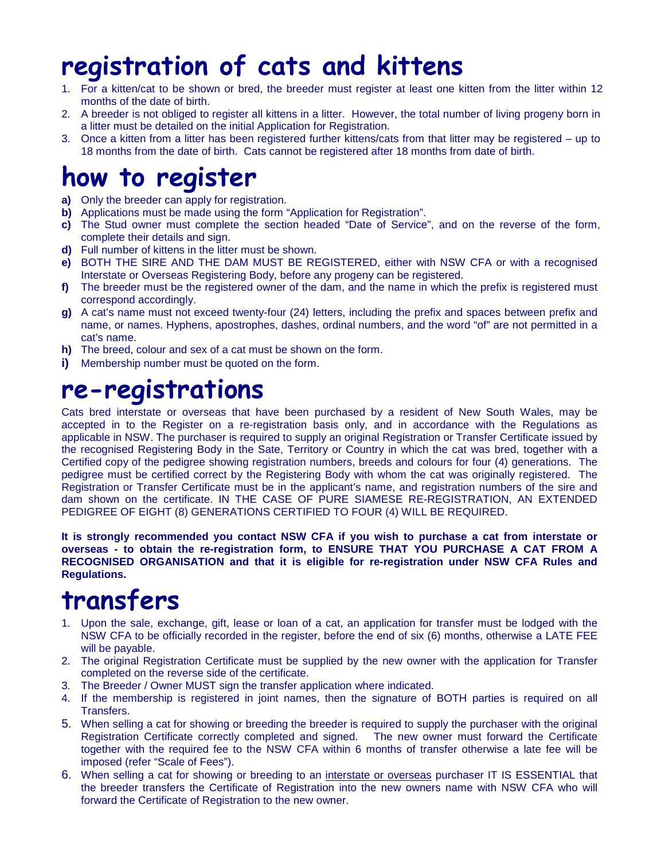## registration of cats and kittens

- 1. For a kitten/cat to be shown or bred, the breeder must register at least one kitten from the litter within 12 months of the date of birth.
- 2. A breeder is not obliged to register all kittens in a litter. However, the total number of living progeny born in a litter must be detailed on the initial Application for Registration.
- 3. Once a kitten from a litter has been registered further kittens/cats from that litter may be registered up to 18 months from the date of birth. Cats cannot be registered after 18 months from date of birth.

### how to register

- **a)** Only the breeder can apply for registration.
- **b)** Applications must be made using the form "Application for Registration".
- **c)** The Stud owner must complete the section headed "Date of Service", and on the reverse of the form, complete their details and sign.
- **d)** Full number of kittens in the litter must be shown.
- **e)** BOTH THE SIRE AND THE DAM MUST BE REGISTERED, either with NSW CFA or with a recognised Interstate or Overseas Registering Body, before any progeny can be registered.
- **f)** The breeder must be the registered owner of the dam, and the name in which the prefix is registered must correspond accordingly.
- **g)** A cat's name must not exceed twenty-four (24) letters, including the prefix and spaces between prefix and name, or names. Hyphens, apostrophes, dashes, ordinal numbers, and the word "of" are not permitted in a cat's name.
- **h)** The breed, colour and sex of a cat must be shown on the form.
- **i)** Membership number must be quoted on the form.

### re-registrations

Cats bred interstate or overseas that have been purchased by a resident of New South Wales, may be accepted in to the Register on a re-registration basis only, and in accordance with the Regulations as applicable in NSW. The purchaser is required to supply an original Registration or Transfer Certificate issued by the recognised Registering Body in the Sate, Territory or Country in which the cat was bred, together with a Certified copy of the pedigree showing registration numbers, breeds and colours for four (4) generations. The pedigree must be certified correct by the Registering Body with whom the cat was originally registered. The Registration or Transfer Certificate must be in the applicant's name, and registration numbers of the sire and dam shown on the certificate. IN THE CASE OF PURE SIAMESE RE-REGISTRATION, AN EXTENDED PEDIGREE OF EIGHT (8) GENERATIONS CERTIFIED TO FOUR (4) WILL BE REQUIRED.

**It is strongly recommended you contact NSW CFA if you wish to purchase a cat from interstate or overseas - to obtain the re-registration form, to ENSURE THAT YOU PURCHASE A CAT FROM A RECOGNISED ORGANISATION and that it is eligible for re-registration under NSW CFA Rules and Regulations.**

## transfers

- 1. Upon the sale, exchange, gift, lease or loan of a cat, an application for transfer must be lodged with the NSW CFA to be officially recorded in the register, before the end of six (6) months, otherwise a LATE FEE will be payable.
- 2. The original Registration Certificate must be supplied by the new owner with the application for Transfer completed on the reverse side of the certificate.
- 3. The Breeder / Owner MUST sign the transfer application where indicated.
- 4. If the membership is registered in joint names, then the signature of BOTH parties is required on all Transfers.
- 5. When selling a cat for showing or breeding the breeder is required to supply the purchaser with the original Registration Certificate correctly completed and signed. The new owner must forward the Certificate together with the required fee to the NSW CFA within 6 months of transfer otherwise a late fee will be imposed (refer "Scale of Fees").
- 6. When selling a cat for showing or breeding to an interstate or overseas purchaser IT IS ESSENTIAL that the breeder transfers the Certificate of Registration into the new owners name with NSW CFA who will forward the Certificate of Registration to the new owner.